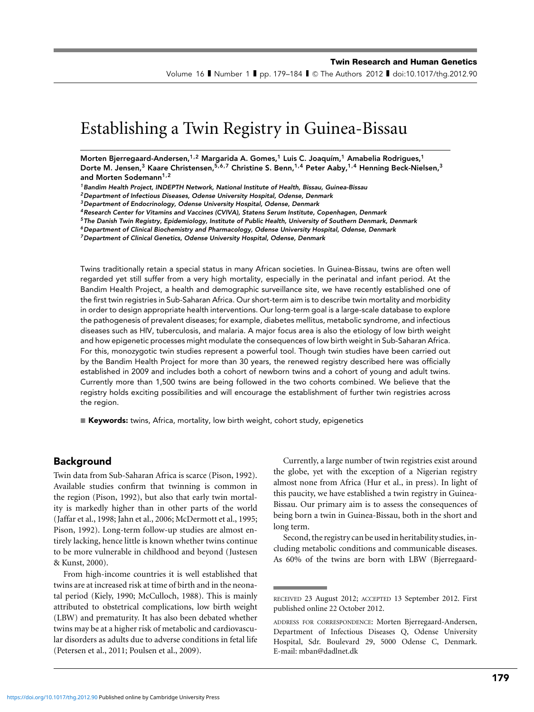Volume 16 II Number 1 II pp. 179–184 II © The Authors 2012 II doi:10.1017/thg.2012.90

# Establishing a Twin Registry in Guinea-Bissau

Morten Bjerregaard-Andersen,<sup>1,2</sup> Margarida A. Gomes,<sup>1</sup> Luis C. Joaquím,<sup>1</sup> Amabelia Rodrigues,<sup>1</sup> Dorte M. Jensen,<sup>3</sup> Kaare Christensen,<sup>5,6,7</sup> Christine S. Benn,<sup>1,4</sup> Peter Aaby,<sup>1,4</sup> Henning Beck-Nielsen,<sup>3</sup> and Morten Sodemann<sup>1,2</sup>

<sup>4</sup>Research Center for Vitamins and Vaccines (CVIVA), Statens Serum Institute, Copenhagen, Denmark

<sup>6</sup>Department of Clinical Biochemistry and Pharmacology, Odense University Hospital, Odense, Denmark

<sup>7</sup>Department of Clinical Genetics, Odense University Hospital, Odense, Denmark

Twins traditionally retain a special status in many African societies. In Guinea-Bissau, twins are often well regarded yet still suffer from a very high mortality, especially in the perinatal and infant period. At the Bandim Health Project, a health and demographic surveillance site, we have recently established one of the first twin registries in Sub-Saharan Africa. Our short-term aim is to describe twin mortality and morbidity in order to design appropriate health interventions. Our long-term goal is a large-scale database to explore the pathogenesis of prevalent diseases; for example, diabetes mellitus, metabolic syndrome, and infectious diseases such as HIV, tuberculosis, and malaria. A major focus area is also the etiology of low birth weight and how epigenetic processes might modulate the consequences of low birth weight in Sub-Saharan Africa. For this, monozygotic twin studies represent a powerful tool. Though twin studies have been carried out by the Bandim Health Project for more than 30 years, the renewed registry described here was officially established in 2009 and includes both a cohort of newborn twins and a cohort of young and adult twins. Currently more than 1,500 twins are being followed in the two cohorts combined. We believe that the registry holds exciting possibilities and will encourage the establishment of further twin registries across the region.

■ Keywords: twins, Africa, mortality, low birth weight, cohort study, epigenetics

# **Background**

Twin data from Sub-Saharan Africa is scarce (Pison, 1992). Available studies confirm that twinning is common in the region (Pison, 1992), but also that early twin mortality is markedly higher than in other parts of the world (Jaffar et al., 1998; Jahn et al., 2006; McDermott et al., 1995; Pison, 1992). Long-term follow-up studies are almost entirely lacking, hence little is known whether twins continue to be more vulnerable in childhood and beyond (Justesen & Kunst, 2000).

From high-income countries it is well established that twins are at increased risk at time of birth and in the neonatal period (Kiely, 1990; McCulloch, 1988). This is mainly attributed to obstetrical complications, low birth weight (LBW) and prematurity. It has also been debated whether twins may be at a higher risk of metabolic and cardiovascular disorders as adults due to adverse conditions in fetal life (Petersen et al., 2011; Poulsen et al., 2009).

Currently, a large number of twin registries exist around the globe, yet with the exception of a Nigerian registry almost none from Africa (Hur et al., in press). In light of this paucity, we have established a twin registry in Guinea-Bissau. Our primary aim is to assess the consequences of being born a twin in Guinea-Bissau, both in the short and long term.

Second, the registry can be used in heritability studies, including metabolic conditions and communicable diseases. As 60% of the twins are born with LBW (Bjerregaard-

<sup>1</sup>Bandim Health Project, INDEPTH Network, National Institute of Health, Bissau, Guinea-Bissau

<sup>&</sup>lt;sup>2</sup> Department of Infectious Diseases, Odense University Hospital, Odense, Denmark

<sup>&</sup>lt;sup>3</sup> Department of Endocrinology, Odense University Hospital, Odense, Denmark

<sup>5</sup> The Danish Twin Registry, Epidemiology, Institute of Public Health, University of Southern Denmark, Denmark

RECEIVED 23 August 2012; ACCEPTED 13 September 2012. First published online 22 October 2012.

ADDRESS FOR CORRESPONDENCE: Morten Bjerregaard-Andersen, Department of Infectious Diseases Q, Odense University Hospital, Sdr. Boulevard 29, 5000 Odense C, Denmark. E-mail: mban@dadlnet.dk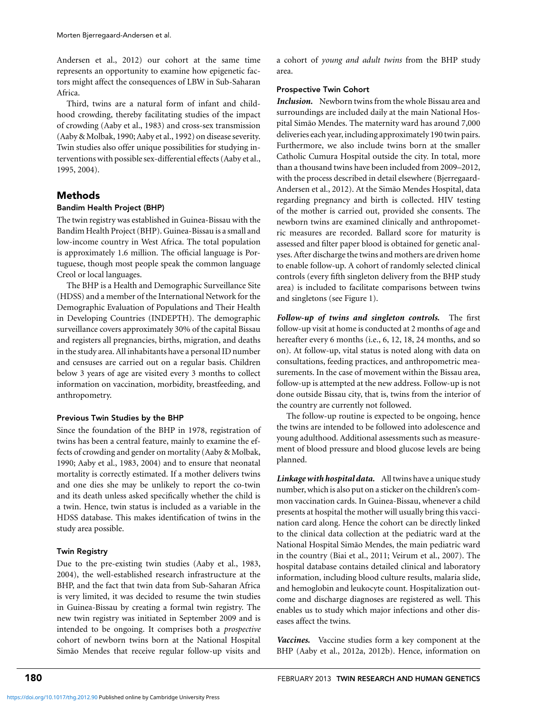Andersen et al., 2012) our cohort at the same time represents an opportunity to examine how epigenetic factors might affect the consequences of LBW in Sub-Saharan Africa.

Third, twins are a natural form of infant and childhood crowding, thereby facilitating studies of the impact of crowding (Aaby et al., 1983) and cross-sex transmission (Aaby & Molbak, 1990; Aaby et al., 1992) on disease severity. Twin studies also offer unique possibilities for studying interventions with possible sex-differential effects (Aaby et al., 1995, 2004).

# Methods

## Bandim Health Project (BHP)

The twin registry was established in Guinea-Bissau with the Bandim Health Project (BHP). Guinea-Bissau is a small and low-income country in West Africa. The total population is approximately 1.6 million. The official language is Portuguese, though most people speak the common language Creol or local languages.

The BHP is a Health and Demographic Surveillance Site (HDSS) and a member of the International Network for the Demographic Evaluation of Populations and Their Health in Developing Countries (INDEPTH). The demographic surveillance covers approximately 30% of the capital Bissau and registers all pregnancies, births, migration, and deaths in the study area. All inhabitants have a personal ID number and censuses are carried out on a regular basis. Children below 3 years of age are visited every 3 months to collect information on vaccination, morbidity, breastfeeding, and anthropometry.

## Previous Twin Studies by the BHP

Since the foundation of the BHP in 1978, registration of twins has been a central feature, mainly to examine the effects of crowding and gender on mortality (Aaby & Molbak, 1990; Aaby et al., 1983, 2004) and to ensure that neonatal mortality is correctly estimated. If a mother delivers twins and one dies she may be unlikely to report the co-twin and its death unless asked specifically whether the child is a twin. Hence, twin status is included as a variable in the HDSS database. This makes identification of twins in the study area possible.

## Twin Registry

Due to the pre-existing twin studies (Aaby et al., 1983, 2004), the well-established research infrastructure at the BHP, and the fact that twin data from Sub-Saharan Africa is very limited, it was decided to resume the twin studies in Guinea-Bissau by creating a formal twin registry. The new twin registry was initiated in September 2009 and is intended to be ongoing. It comprises both a *prospective* cohort of newborn twins born at the National Hospital Simão Mendes that receive regular follow-up visits and a cohort of *young and adult twins* from the BHP study area.

## Prospective Twin Cohort

*Inclusion.* Newborn twins from the whole Bissau area and surroundings are included daily at the main National Hospital Simão Mendes. The maternity ward has around 7,000 deliveries each year, including approximately 190 twin pairs. Furthermore, we also include twins born at the smaller Catholic Cumura Hospital outside the city. In total, more than a thousand twins have been included from 2009–2012, with the process described in detail elsewhere (Bjerregaard-Andersen et al., 2012). At the Simao Mendes Hospital, data ˜ regarding pregnancy and birth is collected. HIV testing of the mother is carried out, provided she consents. The newborn twins are examined clinically and anthropometric measures are recorded. Ballard score for maturity is assessed and filter paper blood is obtained for genetic analyses. After discharge the twins and mothers are driven home to enable follow-up. A cohort of randomly selected clinical controls (every fifth singleton delivery from the BHP study area) is included to facilitate comparisons between twins and singletons (see Figure 1).

*Follow-up of twins and singleton controls.* The first follow-up visit at home is conducted at 2 months of age and hereafter every 6 months (i.e., 6, 12, 18, 24 months, and so on). At follow-up, vital status is noted along with data on consultations, feeding practices, and anthropometric measurements. In the case of movement within the Bissau area, follow-up is attempted at the new address. Follow-up is not done outside Bissau city, that is, twins from the interior of the country are currently not followed.

The follow-up routine is expected to be ongoing, hence the twins are intended to be followed into adolescence and young adulthood. Additional assessments such as measurement of blood pressure and blood glucose levels are being planned.

*Linkage with hospital data.* All twins have a unique study number, which is also put on a sticker on the children's common vaccination cards. In Guinea-Bissau, whenever a child presents at hospital the mother will usually bring this vaccination card along. Hence the cohort can be directly linked to the clinical data collection at the pediatric ward at the National Hospital Simão Mendes, the main pediatric ward in the country (Biai et al., 2011; Veirum et al., 2007). The hospital database contains detailed clinical and laboratory information, including blood culture results, malaria slide, and hemoglobin and leukocyte count. Hospitalization outcome and discharge diagnoses are registered as well. This enables us to study which major infections and other diseases affect the twins.

*Vaccines.* Vaccine studies form a key component at the BHP (Aaby et al., 2012a, 2012b). Hence, information on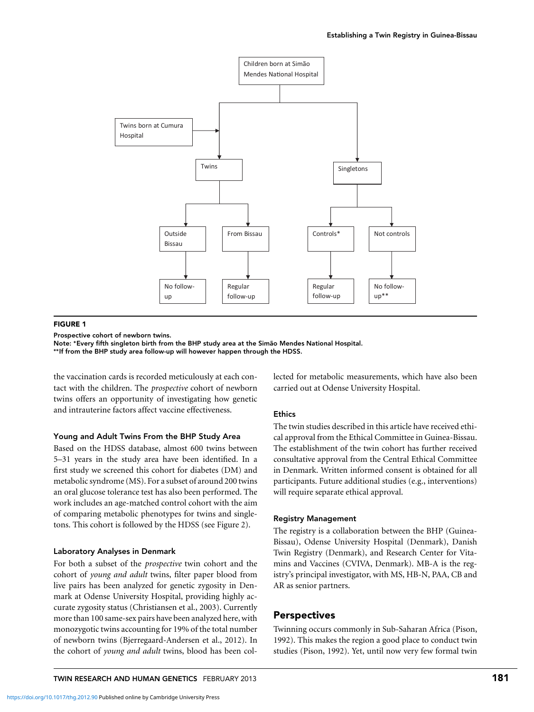

#### FIGURE 1

Prospective cohort of newborn twins.

Note: **<sup>∗</sup>**Every fifth singleton birth from the BHP study area at the Simao Mendes National Hospital. ˜

**∗∗**If from the BHP study area follow-up will however happen through the HDSS.

the vaccination cards is recorded meticulously at each contact with the children. The *prospective* cohort of newborn twins offers an opportunity of investigating how genetic and intrauterine factors affect vaccine effectiveness.

#### Young and Adult Twins From the BHP Study Area

Based on the HDSS database, almost 600 twins between 5–31 years in the study area have been identified. In a first study we screened this cohort for diabetes (DM) and metabolic syndrome (MS). For a subset of around 200 twins an oral glucose tolerance test has also been performed. The work includes an age-matched control cohort with the aim of comparing metabolic phenotypes for twins and singletons. This cohort is followed by the HDSS (see Figure 2).

#### Laboratory Analyses in Denmark

For both a subset of the *prospective* twin cohort and the cohort of *young and adult* twins, filter paper blood from live pairs has been analyzed for genetic zygosity in Denmark at Odense University Hospital, providing highly accurate zygosity status (Christiansen et al., 2003). Currently more than 100 same-sex pairs have been analyzed here, with monozygotic twins accounting for 19% of the total number of newborn twins (Bjerregaard-Andersen et al., 2012). In the cohort of *young and adult* twins, blood has been collected for metabolic measurements, which have also been carried out at Odense University Hospital.

#### Ethics

The twin studies described in this article have received ethical approval from the Ethical Committee in Guinea-Bissau. The establishment of the twin cohort has further received consultative approval from the Central Ethical Committee in Denmark. Written informed consent is obtained for all participants. Future additional studies (e.g., interventions) will require separate ethical approval.

#### Registry Management

The registry is a collaboration between the BHP (Guinea-Bissau), Odense University Hospital (Denmark), Danish Twin Registry (Denmark), and Research Center for Vitamins and Vaccines (CVIVA, Denmark). MB-A is the registry's principal investigator, with MS, HB-N, PAA, CB and AR as senior partners.

# **Perspectives**

Twinning occurs commonly in Sub-Saharan Africa (Pison, 1992). This makes the region a good place to conduct twin studies (Pison, 1992). Yet, until now very few formal twin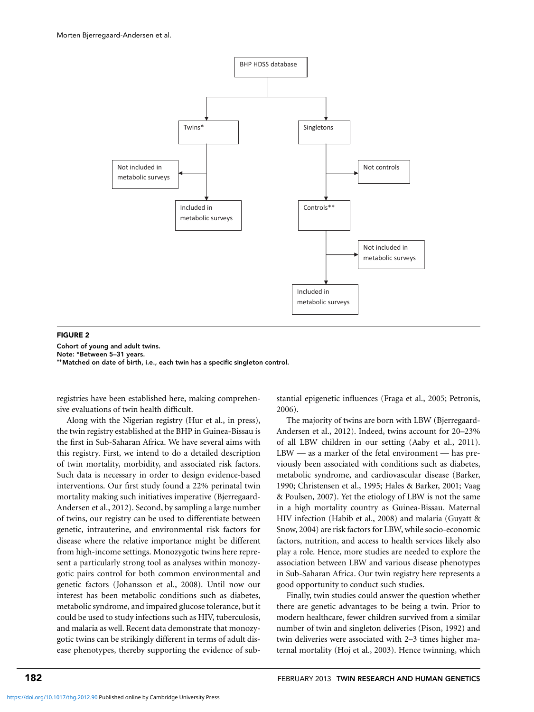

#### FIGURE 2

Cohort of young and adult twins.

Note: **<sup>∗</sup>**Between 5–31 years.

**∗∗**Matched on date of birth, i.e., each twin has a specific singleton control.

registries have been established here, making comprehensive evaluations of twin health difficult.

Along with the Nigerian registry (Hur et al., in press), the twin registry established at the BHP in Guinea-Bissau is the first in Sub-Saharan Africa. We have several aims with this registry. First, we intend to do a detailed description of twin mortality, morbidity, and associated risk factors. Such data is necessary in order to design evidence-based interventions. Our first study found a 22% perinatal twin mortality making such initiatives imperative (Bjerregaard-Andersen et al., 2012). Second, by sampling a large number of twins, our registry can be used to differentiate between genetic, intrauterine, and environmental risk factors for disease where the relative importance might be different from high-income settings. Monozygotic twins here represent a particularly strong tool as analyses within monozygotic pairs control for both common environmental and genetic factors (Johansson et al., 2008). Until now our interest has been metabolic conditions such as diabetes, metabolic syndrome, and impaired glucose tolerance, but it could be used to study infections such as HIV, tuberculosis, and malaria as well. Recent data demonstrate that monozygotic twins can be strikingly different in terms of adult disease phenotypes, thereby supporting the evidence of substantial epigenetic influences (Fraga et al., 2005; Petronis, 2006).

The majority of twins are born with LBW (Bjerregaard-Andersen et al., 2012). Indeed, twins account for 20–23% of all LBW children in our setting (Aaby et al., 2011). LBW — as a marker of the fetal environment — has previously been associated with conditions such as diabetes, metabolic syndrome, and cardiovascular disease (Barker, 1990; Christensen et al., 1995; Hales & Barker, 2001; Vaag & Poulsen, 2007). Yet the etiology of LBW is not the same in a high mortality country as Guinea-Bissau. Maternal HIV infection (Habib et al., 2008) and malaria (Guyatt & Snow, 2004) are risk factors for LBW, while socio-economic factors, nutrition, and access to health services likely also play a role. Hence, more studies are needed to explore the association between LBW and various disease phenotypes in Sub-Saharan Africa. Our twin registry here represents a good opportunity to conduct such studies.

Finally, twin studies could answer the question whether there are genetic advantages to be being a twin. Prior to modern healthcare, fewer children survived from a similar number of twin and singleton deliveries (Pison, 1992) and twin deliveries were associated with 2–3 times higher maternal mortality (Hoj et al., 2003). Hence twinning, which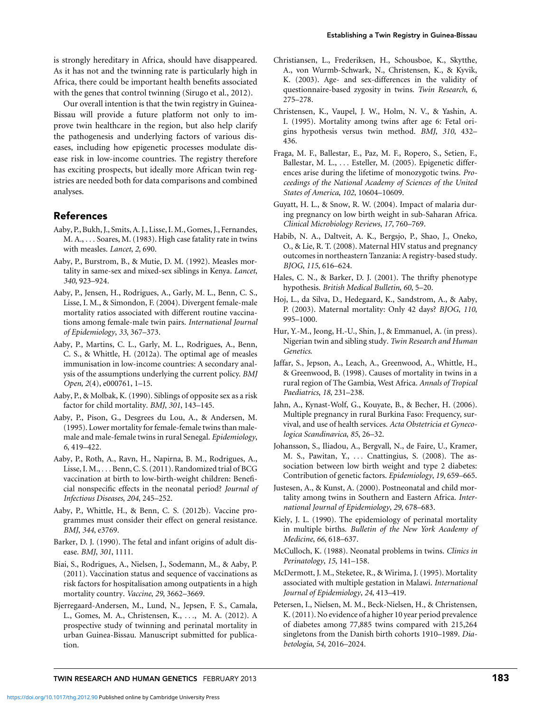is strongly hereditary in Africa, should have disappeared. As it has not and the twinning rate is particularly high in Africa, there could be important health benefits associated with the genes that control twinning (Sirugo et al., 2012).

Our overall intention is that the twin registry in Guinea-Bissau will provide a future platform not only to improve twin healthcare in the region, but also help clarify the pathogenesis and underlying factors of various diseases, including how epigenetic processes modulate disease risk in low-income countries. The registry therefore has exciting prospects, but ideally more African twin registries are needed both for data comparisons and combined analyses.

# References

- Aaby, P., Bukh, J., Smits, A. J., Lisse, I.M., Gomes, J., Fernandes, M. A., *...* Soares, M. (1983). High case fatality rate in twins with measles. *Lancet*, *2*, 690.
- Aaby, P., Burstrom, B., & Mutie, D. M. (1992). Measles mortality in same-sex and mixed-sex siblings in Kenya. *Lancet*, *340*, 923–924.
- Aaby, P., Jensen, H., Rodrigues, A., Garly, M. L., Benn, C. S., Lisse, I. M., & Simondon, F. (2004). Divergent female-male mortality ratios associated with different routine vaccinations among female-male twin pairs. *International Journal of Epidemiology*, *33*, 367–373.
- Aaby, P., Martins, C. L., Garly, M. L., Rodrigues, A., Benn, C. S., & Whittle, H. (2012a). The optimal age of measles immunisation in low-income countries: A secondary analysis of the assumptions underlying the current policy. *BMJ Open*, *2*(4), e000761, 1–15.
- Aaby, P., & Molbak, K. (1990). Siblings of opposite sex as a risk factor for child mortality. *BMJ*, *301*, 143–145.
- Aaby, P., Pison, G., Desgrees du Lou, A., & Andersen, M. (1995). Lower mortality for female-female twins than malemale and male-female twins in rural Senegal. *Epidemiology*, *6*, 419–422.
- Aaby, P., Roth, A., Ravn, H., Napirna, B. M., Rodrigues, A., Lisse, I. M., *...* Benn, C. S. (2011). Randomized trial of BCG vaccination at birth to low-birth-weight children: Beneficial nonspecific effects in the neonatal period? *Journal of Infectious Diseases*, *204*, 245–252.
- Aaby, P., Whittle, H., & Benn, C. S. (2012b). Vaccine programmes must consider their effect on general resistance. *BMJ*, *344*, e3769.
- Barker, D. J. (1990). The fetal and infant origins of adult disease. *BMJ*, *301*, 1111.
- Biai, S., Rodrigues, A., Nielsen, J., Sodemann, M., & Aaby, P. (2011). Vaccination status and sequence of vaccinations as risk factors for hospitalisation among outpatients in a high mortality country. *Vaccine*, *29*, 3662–3669.
- Bjerregaard-Andersen, M., Lund, N., Jepsen, F. S., Camala, L., Gomes, M. A., Christensen, K., *...*, M. A. (2012). A prospective study of twinning and perinatal mortality in urban Guinea-Bissau. Manuscript submitted for publication.
- Christiansen, L., Frederiksen, H., Schousboe, K., Skytthe, A., von Wurmb-Schwark, N., Christensen, K., & Kyvik, K. (2003). Age- and sex-differences in the validity of questionnaire-based zygosity in twins. *Twin Research*, *6*, 275–278.
- Christensen, K., Vaupel, J. W., Holm, N. V., & Yashin, A. I. (1995). Mortality among twins after age 6: Fetal origins hypothesis versus twin method. *BMJ*, *310*, 432– 436.
- Fraga, M. F., Ballestar, E., Paz, M. F., Ropero, S., Setien, F., Ballestar, M. L., *...* Esteller, M. (2005). Epigenetic differences arise during the lifetime of monozygotic twins. *Proceedings of the National Academy of Sciences of the United States of America*, *102*, 10604–10609.
- Guyatt, H. L., & Snow, R. W. (2004). Impact of malaria during pregnancy on low birth weight in sub-Saharan Africa. *Clinical Microbiology Reviews*, *17*, 760–769.
- Habib, N. A., Daltveit, A. K., Bergsjo, P., Shao, J., Oneko, O., & Lie, R. T. (2008). Maternal HIV status and pregnancy outcomes in northeastern Tanzania: A registry-based study. *BJOG*, *115*, 616–624.
- Hales, C. N., & Barker, D. J. (2001). The thrifty phenotype hypothesis. *British Medical Bulletin*, *60*, 5–20.
- Hoj, L., da Silva, D., Hedegaard, K., Sandstrom, A., & Aaby, P. (2003). Maternal mortality: Only 42 days? *BJOG*, *110*, 995–1000.
- Hur, Y.-M., Jeong, H.-U., Shin, J., & Emmanuel, A. (in press). Nigerian twin and sibling study. *Twin Research and Human Genetics*.
- Jaffar, S., Jepson, A., Leach, A., Greenwood, A., Whittle, H., & Greenwood, B. (1998). Causes of mortality in twins in a rural region of The Gambia, West Africa. *Annals of Tropical Paediatrics*, *18*, 231–238.
- Jahn, A., Kynast-Wolf, G., Kouyate, B., & Becher, H. (2006). Multiple pregnancy in rural Burkina Faso: Frequency, survival, and use of health services. *Acta Obstetricia et Gynecologica Scandinavica*, *85*, 26–32.
- Johansson, S., Iliadou, A., Bergvall, N., de Faire, U., Kramer, M. S., Pawitan, Y., *...* Cnattingius, S. (2008). The association between low birth weight and type 2 diabetes: Contribution of genetic factors. *Epidemiology*, *19*, 659–665.
- Justesen, A., & Kunst, A. (2000). Postneonatal and child mortality among twins in Southern and Eastern Africa. *International Journal of Epidemiology*, *29*, 678–683.
- Kiely, J. L. (1990). The epidemiology of perinatal mortality in multiple births. *Bulletin of the New York Academy of Medicine*, *66*, 618–637.
- McCulloch, K. (1988). Neonatal problems in twins. *Clinics in Perinatology*, *15*, 141–158.
- McDermott, J. M., Steketee, R., & Wirima, J. (1995). Mortality associated with multiple gestation in Malawi. *International Journal of Epidemiology*, *24*, 413–419.
- Petersen, I., Nielsen, M. M., Beck-Nielsen, H., & Christensen, K. (2011). No evidence of a higher 10 year period prevalence of diabetes among 77,885 twins compared with 215,264 singletons from the Danish birth cohorts 1910–1989. *Diabetologia*, *54*, 2016–2024.